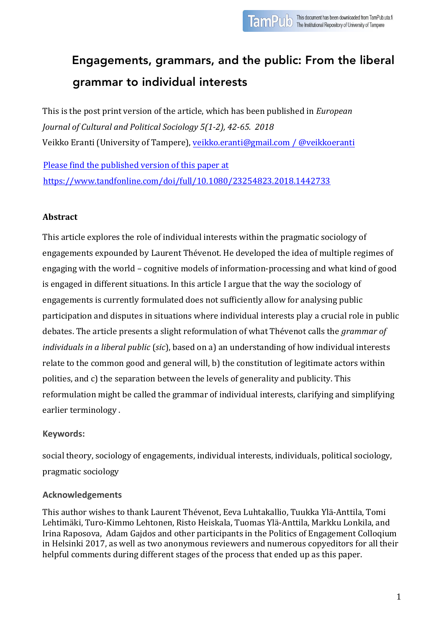# Engagements, grammars, and the public: From the liberal grammar to individual interests

This is the post print version of the article, which has been published in *European Journal of Cultural and Political Sociology 5(1-2), 42-65. 2018* Veikko Eranti (University of Tampere), veikko.eranti@gmail.com / @veikkoeranti

Please find the published version of this paper at https://www.tandfonline.com/doi/full/10.1080/23254823.2018.1442733

# **Abstract**

This article explores the role of individual interests within the pragmatic sociology of engagements expounded by Laurent Thévenot. He developed the idea of multiple regimes of engaging with the world – cognitive models of information-processing and what kind of good is engaged in different situations. In this article I argue that the way the sociology of engagements is currently formulated does not sufficiently allow for analysing public participation and disputes in situations where individual interests play a crucial role in public debates. The article presents a slight reformulation of what Thévenot calls the *grammar of individuals in a liberal public* (*sic*), based on a) an understanding of how individual interests relate to the common good and general will, b) the constitution of legitimate actors within polities, and c) the separation between the levels of generality and publicity. This reformulation might be called the grammar of individual interests, clarifying and simplifying earlier terminology.

# **Keywords:**

social theory, sociology of engagements, individual interests, individuals, political sociology, pragmatic sociology

# **Acknowledgements**

This author wishes to thank Laurent Thévenot, Eeva Luhtakallio, Tuukka Ylä-Anttila, Tomi Lehtimäki, Turo-Kimmo Lehtonen, Risto Heiskala, Tuomas Ylä-Anttila, Markku Lonkila, and Irina Raposova, Adam Gajdos and other participants in the Politics of Engagement Colloqium in Helsinki 2017, as well as two anonymous reviewers and numerous copyeditors for all their helpful comments during different stages of the process that ended up as this paper.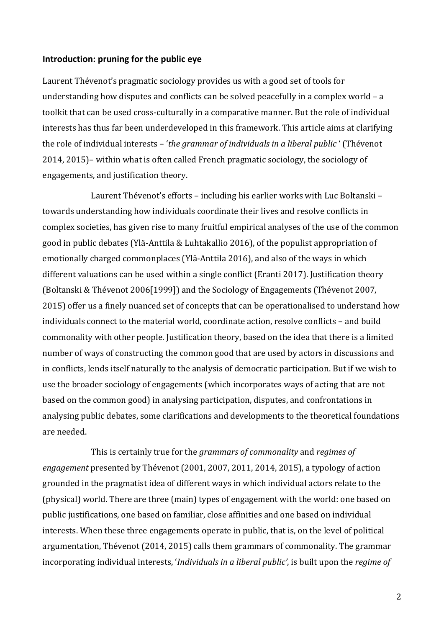#### **Introduction: pruning for the public eye**

Laurent Thévenot's pragmatic sociology provides us with a good set of tools for understanding how disputes and conflicts can be solved peacefully in a complex world  $- a$ toolkit that can be used cross-culturally in a comparative manner. But the role of individual interests has thus far been underdeveloped in this framework. This article aims at clarifying the role of individual interests – '*the grammar of individuals in a liberal public* ' (Thévenot  $2014$ ,  $2015$ )– within what is often called French pragmatic sociology, the sociology of engagements, and justification theory.

Laurent Thévenot's efforts - including his earlier works with Luc Boltanski towards understanding how individuals coordinate their lives and resolve conflicts in complex societies, has given rise to many fruitful empirical analyses of the use of the common good in public debates (Ylä-Anttila & Luhtakallio 2016), of the populist appropriation of emotionally charged commonplaces (Ylä-Anttila 2016), and also of the ways in which different valuations can be used within a single conflict (Eranti 2017). Justification theory (Boltanski & Thévenot 2006[1999]) and the Sociology of Engagements (Thévenot 2007, 2015) offer us a finely nuanced set of concepts that can be operationalised to understand how individuals connect to the material world, coordinate action, resolve conflicts - and build commonality with other people. Justification theory, based on the idea that there is a limited number of ways of constructing the common good that are used by actors in discussions and in conflicts, lends itself naturally to the analysis of democratic participation. But if we wish to use the broader sociology of engagements (which incorporates ways of acting that are not based on the common good) in analysing participation, disputes, and confrontations in analysing public debates, some clarifications and developments to the theoretical foundations are needed.

This is certainly true for the *grammars of commonality* and *regimes of engagement* presented by Thévenot (2001, 2007, 2011, 2014, 2015), a typology of action grounded in the pragmatist idea of different ways in which individual actors relate to the (physical) world. There are three (main) types of engagement with the world: one based on public justifications, one based on familiar, close affinities and one based on individual interests. When these three engagements operate in public, that is, on the level of political argumentation, Thévenot (2014, 2015) calls them grammars of commonality. The grammar incorporating individual interests, *'Individuals* in a liberal public', is built upon the *regime* of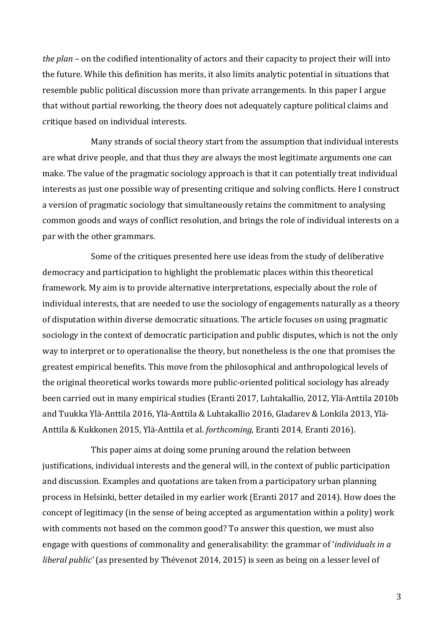*the plan* – on the codified intentionality of actors and their capacity to project their will into the future. While this definition has merits, it also limits analytic potential in situations that resemble public political discussion more than private arrangements. In this paper I argue that without partial reworking, the theory does not adequately capture political claims and critique based on individual interests.

Many strands of social theory start from the assumption that individual interests are what drive people, and that thus they are always the most legitimate arguments one can make. The value of the pragmatic sociology approach is that it can potentially treat individual interests as just one possible way of presenting critique and solving conflicts. Here I construct a version of pragmatic sociology that simultaneously retains the commitment to analysing common goods and ways of conflict resolution, and brings the role of individual interests on a par with the other grammars.

Some of the critiques presented here use ideas from the study of deliberative democracy and participation to highlight the problematic places within this theoretical framework. My aim is to provide alternative interpretations, especially about the role of individual interests, that are needed to use the sociology of engagements naturally as a theory of disputation within diverse democratic situations. The article focuses on using pragmatic sociology in the context of democratic participation and public disputes, which is not the only way to interpret or to operationalise the theory, but nonetheless is the one that promises the greatest empirical benefits. This move from the philosophical and anthropological levels of the original theoretical works towards more public-oriented political sociology has already been carried out in many empirical studies (Eranti 2017, Luhtakallio, 2012, Ylä-Anttila 2010b and Tuukka Ylä-Anttila 2016, Ylä-Anttila & Luhtakallio 2016, Gladarev & Lonkila 2013, Ylä-Anttila & Kukkonen 2015, Ylä-Anttila et al. *forthcoming*, Eranti 2014, Eranti 2016).

This paper aims at doing some pruning around the relation between justifications, individual interests and the general will, in the context of public participation and discussion. Examples and quotations are taken from a participatory urban planning process in Helsinki, better detailed in my earlier work (Eranti 2017 and 2014). How does the concept of legitimacy (in the sense of being accepted as argumentation within a polity) work with comments not based on the common good? To answer this question, we must also engage with questions of commonality and generalisability: the grammar of *'individuals in a liberal public'* (as presented by Thévenot 2014, 2015) is seen as being on a lesser level of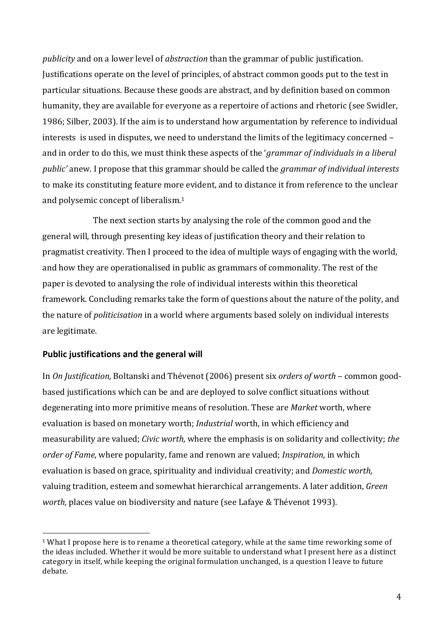*publicity* and on a lower level of *abstraction* than the grammar of public justification. Justifications operate on the level of principles, of abstract common goods put to the test in particular situations. Because these goods are abstract, and by definition based on common humanity, they are available for everyone as a repertoire of actions and rhetoric (see Swidler, 1986; Silber, 2003). If the aim is to understand how argumentation by reference to individual interests is used in disputes, we need to understand the limits of the legitimacy concerned – and in order to do this, we must think these aspects of the *'grammar of individuals in a liberal public'* anew. I propose that this grammar should be called the *grammar of individual interests* to make its constituting feature more evident, and to distance it from reference to the unclear and polysemic concept of liberalism.<sup>1</sup>

The next section starts by analysing the role of the common good and the general will, through presenting key ideas of justification theory and their relation to pragmatist creativity. Then I proceed to the idea of multiple ways of engaging with the world, and how they are operationalised in public as grammars of commonality. The rest of the paper is devoted to analysing the role of individual interests within this theoretical framework. Concluding remarks take the form of questions about the nature of the polity, and the nature of *politicisation* in a world where arguments based solely on individual interests are legitimate.

# **Public justifications and the general will**

 

In *On Justification*, Boltanski and Thévenot (2006) present six *orders of worth* – common goodbased justifications which can be and are deployed to solve conflict situations without degenerating into more primitive means of resolution. These are *Market* worth, where evaluation is based on monetary worth; *Industrial* worth, in which efficiency and measurability are valued; *Civic worth*, where the emphasis is on solidarity and collectivity; the *order of Fame*, where popularity, fame and renown are valued; *Inspiration*, in which evaluation is based on grace, spirituality and individual creativity; and *Domestic worth*, valuing tradition, esteem and somewhat hierarchical arrangements. A later addition, *Green worth*, places value on biodiversity and nature (see Lafaye & Thévenot 1993).

 $1$  What I propose here is to rename a theoretical category, while at the same time reworking some of the ideas included. Whether it would be more suitable to understand what I present here as a distinct category in itself, while keeping the original formulation unchanged, is a question I leave to future debate.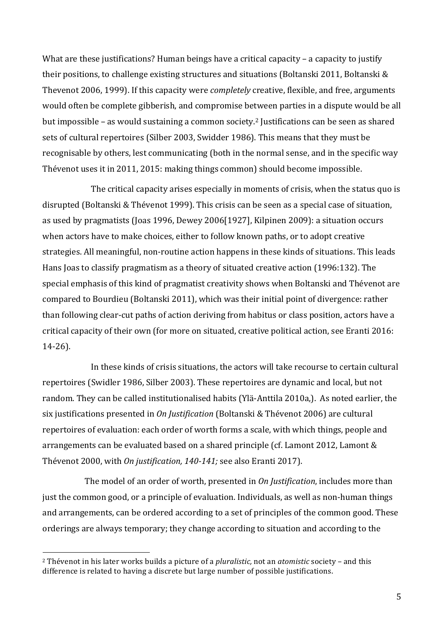What are these justifications? Human beings have a critical capacity – a capacity to justify their positions, to challenge existing structures and situations (Boltanski 2011, Boltanski  $\&$ Thevenot 2006, 1999). If this capacity were *completely* creative, flexible, and free, arguments would often be complete gibberish, and compromise between parties in a dispute would be all but impossible - as would sustaining a common society.<sup>2</sup> Justifications can be seen as shared sets of cultural repertoires (Silber 2003, Swidder 1986). This means that they must be recognisable by others, lest communicating (both in the normal sense, and in the specific way Thévenot uses it in 2011, 2015: making things common) should become impossible.

The critical capacity arises especially in moments of crisis, when the status quo is disrupted (Boltanski & Thévenot 1999). This crisis can be seen as a special case of situation, as used by pragmatists (Joas 1996, Dewey 2006[1927], Kilpinen 2009): a situation occurs when actors have to make choices, either to follow known paths, or to adopt creative strategies. All meaningful, non-routine action happens in these kinds of situations. This leads Hans Joas to classify pragmatism as a theory of situated creative action (1996:132). The special emphasis of this kind of pragmatist creativity shows when Boltanski and Thévenot are compared to Bourdieu (Boltanski 2011), which was their initial point of divergence: rather than following clear-cut paths of action deriving from habitus or class position, actors have a critical capacity of their own (for more on situated, creative political action, see Eranti 2016: 14-26).

In these kinds of crisis situations, the actors will take recourse to certain cultural repertoires (Swidler 1986, Silber 2003). These repertoires are dynamic and local, but not random. They can be called institutionalised habits (Ylä-Anttila 2010a,). As noted earlier, the six justifications presented in *On Justification* (Boltanski & Thévenot 2006) are cultural repertoires of evaluation: each order of worth forms a scale, with which things, people and arrangements can be evaluated based on a shared principle  $(cf.$  Lamont 2012, Lamont  $&$ Thévenot 2000, with *On justification, 140-141;* see also Eranti 2017).

The model of an order of worth, presented in *On Justification*, includes more than just the common good, or a principle of evaluation. Individuals, as well as non-human things and arrangements, can be ordered according to a set of principles of the common good. These orderings are always temporary; they change according to situation and according to the

<sup>&</sup>lt;sup>2</sup> Thévenot in his later works builds a picture of a *pluralistic*, not an *atomistic* society – and this difference is related to having a discrete but large number of possible justifications.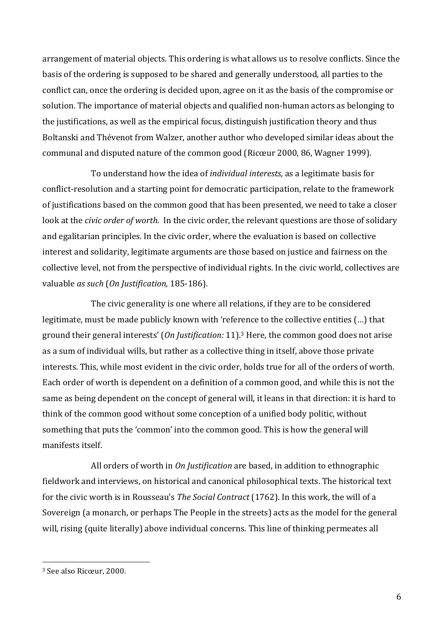arrangement of material objects. This ordering is what allows us to resolve conflicts. Since the basis of the ordering is supposed to be shared and generally understood, all parties to the conflict can, once the ordering is decided upon, agree on it as the basis of the compromise or solution. The importance of material objects and qualified non-human actors as belonging to the justifications, as well as the empirical focus, distinguish justification theory and thus Boltanski and Thévenot from Walzer, another author who developed similar ideas about the communal and disputed nature of the common good (Ricœur 2000, 86, Wagner 1999).

To understand how the idea of *individual interests*, as a legitimate basis for conflict-resolution and a starting point for democratic participation, relate to the framework of justifications based on the common good that has been presented, we need to take a closer look at the *civic order of worth*. In the civic order, the relevant questions are those of solidary and egalitarian principles. In the civic order, where the evaluation is based on collective interest and solidarity, legitimate arguments are those based on justice and fairness on the collective level, not from the perspective of individual rights. In the civic world, collectives are valuable *as such* (*On Justification*, 185-186).

The civic generality is one where all relations, if they are to be considered legitimate, must be made publicly known with 'reference to the collective entities (...) that ground their general interests' (On Justification: 11).<sup>3</sup> Here, the common good does not arise as a sum of individual wills, but rather as a collective thing in itself, above those private interests. This, while most evident in the civic order, holds true for all of the orders of worth. Each order of worth is dependent on a definition of a common good, and while this is not the same as being dependent on the concept of general will, it leans in that direction: it is hard to think of the common good without some conception of a unified body politic, without something that puts the 'common' into the common good. This is how the general will manifests itself.

All orders of worth in *On Justification* are based, in addition to ethnographic fieldwork and interviews, on historical and canonical philosophical texts. The historical text for the civic worth is in Rousseau's *The Social Contract* (1762). In this work, the will of a Sovereign (a monarch, or perhaps The People in the streets) acts as the model for the general will, rising (quite literally) above individual concerns. This line of thinking permeates all

<sup>&</sup>lt;sup>3</sup> See also Ricœur, 2000.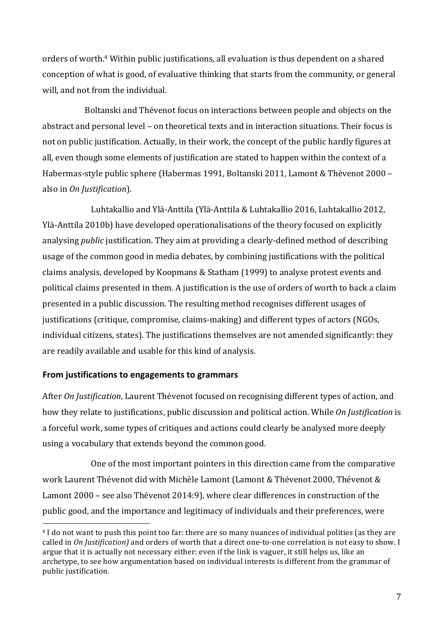orders of worth.<sup>4</sup> Within public justifications, all evaluation is thus dependent on a shared conception of what is good, of evaluative thinking that starts from the community, or general will, and not from the individual.

Boltanski and Thévenot focus on interactions between people and objects on the abstract and personal level - on theoretical texts and in interaction situations. Their focus is not on public justification. Actually, in their work, the concept of the public hardly figures at all, even though some elements of justification are stated to happen within the context of a Habermas-style public sphere (Habermas 1991, Boltanski 2011, Lamont & Thévenot 2000 – also in *On Justification*).

Luhtakallio and Ylä-Anttila (Ylä-Anttila & Luhtakallio 2016, Luhtakallio 2012, Ylä-Anttila 2010b) have developed operationalisations of the theory focused on explicitly analysing *public* justification. They aim at providing a clearly-defined method of describing usage of the common good in media debates, by combining justifications with the political claims analysis, developed by Koopmans & Statham (1999) to analyse protest events and political claims presented in them. A justification is the use of orders of worth to back a claim presented in a public discussion. The resulting method recognises different usages of justifications (critique, compromise, claims-making) and different types of actors (NGOs, individual citizens, states). The justifications themselves are not amended significantly: they are readily available and usable for this kind of analysis.

# **From iustifications to engagements to grammars**

 

After *On Justification*, Laurent Thévenot focused on recognising different types of action, and how they relate to justifications, public discussion and political action. While *On Justification* is a forceful work, some types of critiques and actions could clearly be analysed more deeply using a vocabulary that extends beyond the common good.

One of the most important pointers in this direction came from the comparative work Laurent Thévenot did with Michèle Lamont (Lamont & Thévenot 2000, Thévenot & Lamont 2000 – see also Thévenot 2014:9), where clear differences in construction of the public good, and the importance and legitimacy of individuals and their preferences, were

<sup>&</sup>lt;sup>4</sup> I do not want to push this point too far: there are so many nuances of individual polities (as they are called in *On Justification*) and orders of worth that a direct one-to-one correlation is not easy to show. I argue that it is actually not necessary either: even if the link is vaguer, it still helps us, like an archetype, to see how argumentation based on individual interests is different from the grammar of public justification.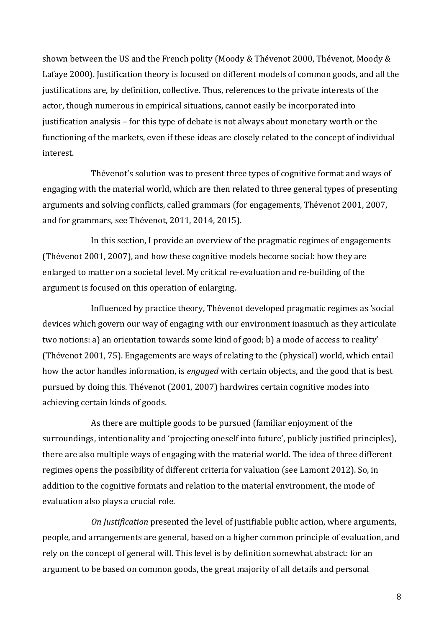shown between the US and the French polity (Moody & Thévenot 2000, Thévenot, Moody & Lafaye 2000). Justification theory is focused on different models of common goods, and all the justifications are, by definition, collective. Thus, references to the private interests of the actor, though numerous in empirical situations, cannot easily be incorporated into justification analysis – for this type of debate is not always about monetary worth or the functioning of the markets, even if these ideas are closely related to the concept of individual interest.

Thévenot's solution was to present three types of cognitive format and ways of engaging with the material world, which are then related to three general types of presenting arguments and solving conflicts, called grammars (for engagements, Thévenot 2001, 2007, and for grammars, see Thévenot, 2011, 2014, 2015).

In this section, I provide an overview of the pragmatic regimes of engagements (Thévenot 2001, 2007), and how these cognitive models become social: how they are enlarged to matter on a societal level. My critical re-evaluation and re-building of the argument is focused on this operation of enlarging.

Influenced by practice theory, Thévenot developed pragmatic regimes as 'social devices which govern our way of engaging with our environment inasmuch as they articulate two notions: a) an orientation towards some kind of good; b) a mode of access to reality' (Thévenot 2001, 75). Engagements are ways of relating to the (physical) world, which entail how the actor handles information, is *engaged* with certain objects, and the good that is best pursued by doing this. Thévenot (2001, 2007) hardwires certain cognitive modes into achieving certain kinds of goods.

As there are multiple goods to be pursued (familiar enjoyment of the surroundings, intentionality and 'projecting oneself into future', publicly justified principles), there are also multiple ways of engaging with the material world. The idea of three different regimes opens the possibility of different criteria for valuation (see Lamont 2012). So, in addition to the cognitive formats and relation to the material environment, the mode of evaluation also plays a crucial role.

*On Justification* presented the level of justifiable public action, where arguments, people, and arrangements are general, based on a higher common principle of evaluation, and rely on the concept of general will. This level is by definition somewhat abstract: for an argument to be based on common goods, the great majority of all details and personal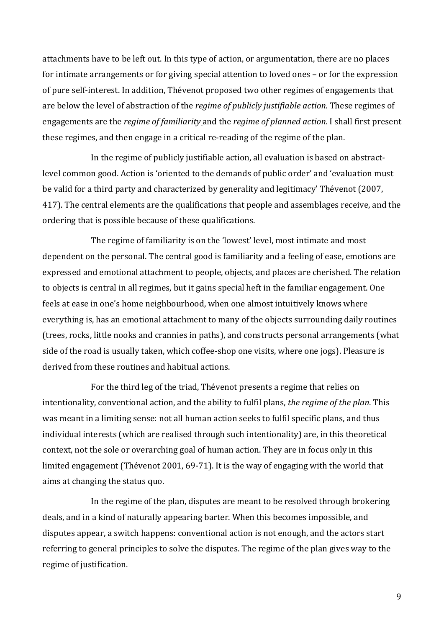attachments have to be left out. In this type of action, or argumentation, there are no places for intimate arrangements or for giving special attention to loved ones – or for the expression of pure self-interest. In addition, Thévenot proposed two other regimes of engagements that are below the level of abstraction of the *regime of publicly justifiable action*. These regimes of engagements are the *regime of familiarity* and the *regime of planned action*. I shall first present these regimes, and then engage in a critical re-reading of the regime of the plan.

In the regime of publicly justifiable action, all evaluation is based on abstractlevel common good. Action is 'oriented to the demands of public order' and 'evaluation must be valid for a third party and characterized by generality and legitimacy' Thévenot (2007, 417). The central elements are the qualifications that people and assemblages receive, and the ordering that is possible because of these qualifications.

The regime of familiarity is on the 'lowest' level, most intimate and most dependent on the personal. The central good is familiarity and a feeling of ease, emotions are expressed and emotional attachment to people, objects, and places are cherished. The relation to objects is central in all regimes, but it gains special heft in the familiar engagement. One feels at ease in one's home neighbourhood, when one almost intuitively knows where everything is, has an emotional attachment to many of the objects surrounding daily routines (trees, rocks, little nooks and crannies in paths), and constructs personal arrangements (what side of the road is usually taken, which coffee-shop one visits, where one jogs). Pleasure is derived from these routines and habitual actions.

For the third leg of the triad, Thévenot presents a regime that relies on intentionality, conventional action, and the ability to fulfil plans, *the regime of the plan*. This was meant in a limiting sense: not all human action seeks to fulfil specific plans, and thus individual interests (which are realised through such intentionality) are, in this theoretical context, not the sole or overarching goal of human action. They are in focus only in this limited engagement (Thévenot 2001, 69-71). It is the way of engaging with the world that aims at changing the status quo.

In the regime of the plan, disputes are meant to be resolved through brokering deals, and in a kind of naturally appearing barter. When this becomes impossible, and disputes appear, a switch happens: conventional action is not enough, and the actors start referring to general principles to solve the disputes. The regime of the plan gives way to the regime of justification.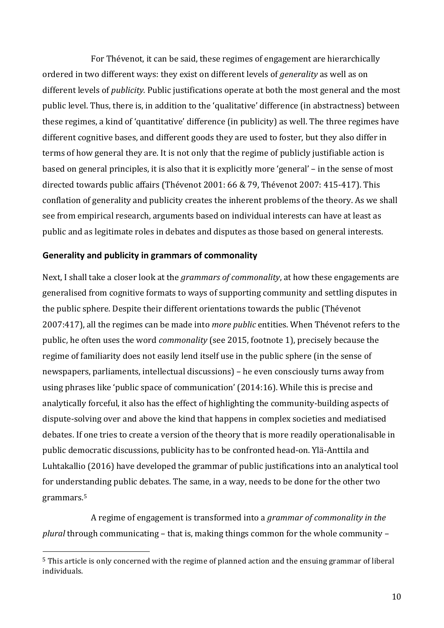For Thévenot, it can be said, these regimes of engagement are hierarchically ordered in two different ways: they exist on different levels of *generality* as well as on different levels of *publicity*. Public justifications operate at both the most general and the most public level. Thus, there is, in addition to the 'qualitative' difference (in abstractness) between these regimes, a kind of 'quantitative' difference (in publicity) as well. The three regimes have different cognitive bases, and different goods they are used to foster, but they also differ in terms of how general they are. It is not only that the regime of publicly justifiable action is based on general principles, it is also that it is explicitly more 'general' – in the sense of most directed towards public affairs (Thévenot 2001: 66 & 79, Thévenot 2007: 415-417). This conflation of generality and publicity creates the inherent problems of the theory. As we shall see from empirical research, arguments based on individual interests can have at least as public and as legitimate roles in debates and disputes as those based on general interests.

### **Generality and publicity in grammars of commonality**

 

Next, I shall take a closer look at the *grammars of commonality*, at how these engagements are generalised from cognitive formats to ways of supporting community and settling disputes in the public sphere. Despite their different orientations towards the public (Thévenot 2007:417), all the regimes can be made into *more public* entities. When Thévenot refers to the public, he often uses the word *commonality* (see 2015, footnote 1), precisely because the regime of familiarity does not easily lend itself use in the public sphere (in the sense of newspapers, parliaments, intellectual discussions) – he even consciously turns away from using phrases like 'public space of communication' (2014:16). While this is precise and analytically forceful, it also has the effect of highlighting the community-building aspects of dispute-solving over and above the kind that happens in complex societies and mediatised debates. If one tries to create a version of the theory that is more readily operationalisable in public democratic discussions, publicity has to be confronted head-on. Ylä-Anttila and Luhtakallio (2016) have developed the grammar of public justifications into an analytical tool for understanding public debates. The same, in a way, needs to be done for the other two grammars. 5

A regime of engagement is transformed into a *grammar of commonality in the plural* through communicating – that is, making things common for the whole community –

 $5$  This article is only concerned with the regime of planned action and the ensuing grammar of liberal individuals.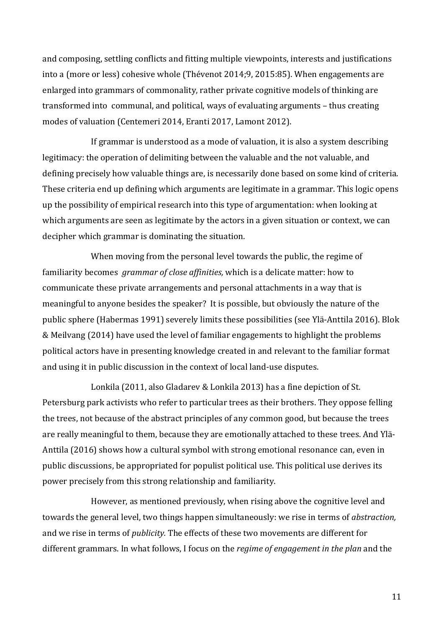and composing, settling conflicts and fitting multiple viewpoints, interests and justifications into a (more or less) cohesive whole (Thévenot  $2014;9$ ,  $2015:85$ ). When engagements are enlarged into grammars of commonality, rather private cognitive models of thinking are transformed into communal, and political, ways of evaluating arguments - thus creating modes of valuation (Centemeri 2014, Eranti 2017, Lamont 2012).

If grammar is understood as a mode of valuation, it is also a system describing legitimacy: the operation of delimiting between the valuable and the not valuable, and defining precisely how valuable things are, is necessarily done based on some kind of criteria. These criteria end up defining which arguments are legitimate in a grammar. This logic opens up the possibility of empirical research into this type of argumentation: when looking at which arguments are seen as legitimate by the actors in a given situation or context, we can decipher which grammar is dominating the situation.

When moving from the personal level towards the public, the regime of familiarity becomes *grammar of close affinities*, which is a delicate matter: how to communicate these private arrangements and personal attachments in a way that is meaningful to anyone besides the speaker? It is possible, but obviously the nature of the public sphere (Habermas 1991) severely limits these possibilities (see Ylä-Anttila 2016). Blok & Meilvang (2014) have used the level of familiar engagements to highlight the problems political actors have in presenting knowledge created in and relevant to the familiar format and using it in public discussion in the context of local land-use disputes.

Lonkila (2011, also Gladarev & Lonkila 2013) has a fine depiction of St. Petersburg park activists who refer to particular trees as their brothers. They oppose felling the trees, not because of the abstract principles of any common good, but because the trees are really meaningful to them, because they are emotionally attached to these trees. And Ylä-Anttila (2016) shows how a cultural symbol with strong emotional resonance can, even in public discussions, be appropriated for populist political use. This political use derives its power precisely from this strong relationship and familiarity.

However, as mentioned previously, when rising above the cognitive level and towards the general level, two things happen simultaneously: we rise in terms of *abstraction*, and we rise in terms of *publicity*. The effects of these two movements are different for different grammars. In what follows, I focus on the *regime of engagement in the plan* and the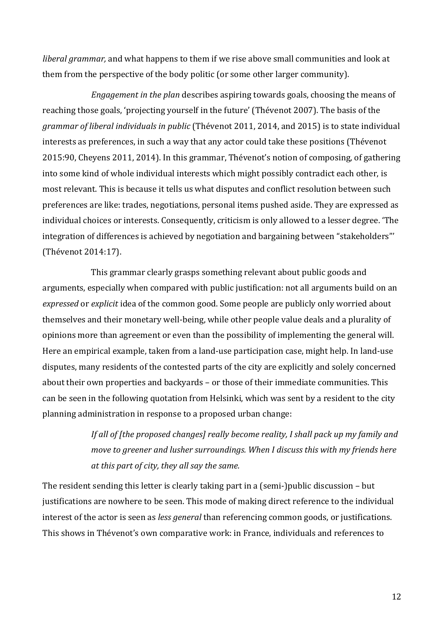*liberal grammar*, and what happens to them if we rise above small communities and look at them from the perspective of the body politic (or some other larger community).

*Engagement in the plan* describes aspiring towards goals, choosing the means of reaching those goals, 'projecting yourself in the future' (Thévenot 2007). The basis of the *grammar of liberal individuals in public* (Thévenot 2011, 2014, and 2015) is to state individual interests as preferences, in such a way that any actor could take these positions (Thévenot 2015:90, Cheyens 2011, 2014). In this grammar, Thévenot's notion of composing, of gathering into some kind of whole individual interests which might possibly contradict each other, is most relevant. This is because it tells us what disputes and conflict resolution between such preferences are like: trades, negotiations, personal items pushed aside. They are expressed as individual choices or interests. Consequently, criticism is only allowed to a lesser degree. 'The integration of differences is achieved by negotiation and bargaining between "stakeholders" (Thévenot 2014:17).

This grammar clearly grasps something relevant about public goods and arguments, especially when compared with public justification: not all arguments build on an *expressed* or *explicit* idea of the common good. Some people are publicly only worried about themselves and their monetary well-being, while other people value deals and a plurality of opinions more than agreement or even than the possibility of implementing the general will. Here an empirical example, taken from a land-use participation case, might help. In land-use disputes, many residents of the contested parts of the city are explicitly and solely concerned about their own properties and backyards – or those of their immediate communities. This can be seen in the following quotation from Helsinki, which was sent by a resident to the city planning administration in response to a proposed urban change:

> *If all of [the proposed changes] really become reality, I shall pack up my family and move to greener and lusher surroundings. When I discuss this with my friends here at this part of city, they all say the same.*

The resident sending this letter is clearly taking part in a (semi-)public discussion  $-$  but justifications are nowhere to be seen. This mode of making direct reference to the individual interest of the actor is seen as *less general* than referencing common goods, or justifications. This shows in Thévenot's own comparative work: in France, individuals and references to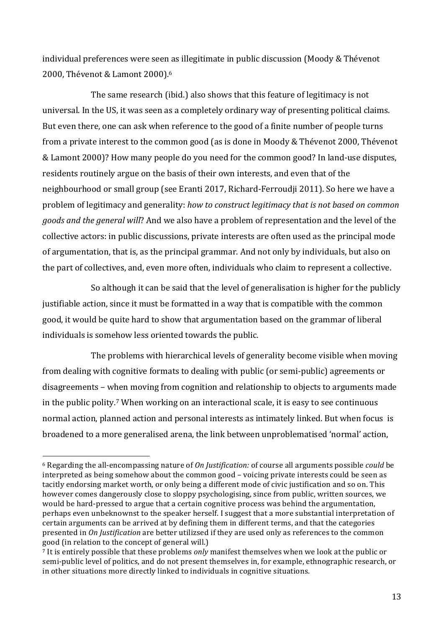individual preferences were seen as illegitimate in public discussion (Moody & Thévenot 2000, Thévenot & Lamont 2000).<sup>6</sup>

The same research (ibid.) also shows that this feature of legitimacy is not universal. In the US, it was seen as a completely ordinary way of presenting political claims. But even there, one can ask when reference to the good of a finite number of people turns from a private interest to the common good (as is done in Moody & Thévenot 2000, Thévenot & Lamont 2000)? How many people do you need for the common good? In land-use disputes, residents routinely argue on the basis of their own interests, and even that of the neighbourhood or small group (see Eranti 2017, Richard-Ferroudji 2011). So here we have a problem of legitimacy and generality: *how to construct legitimacy that is not based on common goods and the general will*? And we also have a problem of representation and the level of the collective actors: in public discussions, private interests are often used as the principal mode of argumentation, that is, as the principal grammar. And not only by individuals, but also on the part of collectives, and, even more often, individuals who claim to represent a collective.

So although it can be said that the level of generalisation is higher for the publicly justifiable action, since it must be formatted in a way that is compatible with the common good, it would be quite hard to show that argumentation based on the grammar of liberal individuals is somehow less oriented towards the public.

The problems with hierarchical levels of generality become visible when moving from dealing with cognitive formats to dealing with public (or semi-public) agreements or disagreements – when moving from cognition and relationship to objects to arguments made in the public polity.<sup>7</sup> When working on an interactional scale, it is easy to see continuous normal action, planned action and personal interests as intimately linked. But when focus is broadened to a more generalised arena, the link between unproblematised 'normal' action,

<sup>&</sup>lt;sup>6</sup> Regarding the all-encompassing nature of *On Justification:* of course all arguments possible *could* be interpreted as being somehow about the common good – voicing private interests could be seen as tacitly endorsing market worth, or only being a different mode of civic justification and so on. This however comes dangerously close to sloppy psychologising, since from public, written sources, we would be hard-pressed to argue that a certain cognitive process was behind the argumentation, perhaps even unbeknownst to the speaker herself. I suggest that a more substantial interpretation of certain arguments can be arrived at by defining them in different terms, and that the categories presented in *On Justification* are better utilizsed if they are used only as references to the common good (in relation to the concept of general will.)

 $\frac{1}{7}$  It is entirely possible that these problems *only* manifest themselves when we look at the public or semi-public level of politics, and do not present themselves in, for example, ethnographic research, or in other situations more directly linked to individuals in cognitive situations.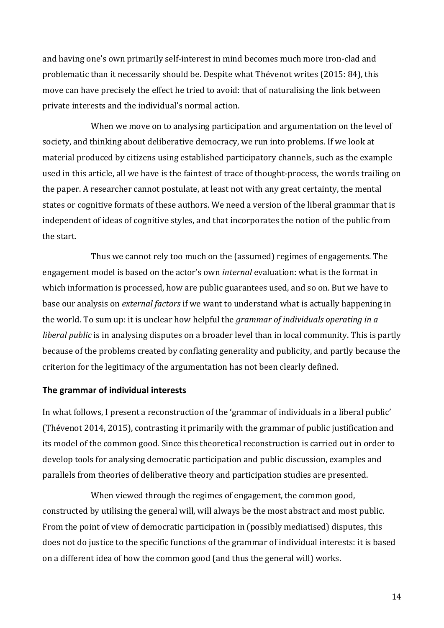and having one's own primarily self-interest in mind becomes much more iron-clad and problematic than it necessarily should be. Despite what Thévenot writes (2015: 84), this move can have precisely the effect he tried to avoid: that of naturalising the link between private interests and the individual's normal action.

When we move on to analysing participation and argumentation on the level of society, and thinking about deliberative democracy, we run into problems. If we look at material produced by citizens using established participatory channels, such as the example used in this article, all we have is the faintest of trace of thought-process, the words trailing on the paper. A researcher cannot postulate, at least not with any great certainty, the mental states or cognitive formats of these authors. We need a version of the liberal grammar that is independent of ideas of cognitive styles, and that incorporates the notion of the public from the start.

Thus we cannot rely too much on the (assumed) regimes of engagements. The engagement model is based on the actor's own *internal* evaluation: what is the format in which information is processed, how are public guarantees used, and so on. But we have to base our analysis on *external factors* if we want to understand what is actually happening in the world. To sum up: it is unclear how helpful the *grammar of individuals operating in a liberal public* is in analysing disputes on a broader level than in local community. This is partly because of the problems created by conflating generality and publicity, and partly because the criterion for the legitimacy of the argumentation has not been clearly defined.

#### **The grammar of individual interests**

In what follows, I present a reconstruction of the 'grammar of individuals in a liberal public' (Thévenot 2014, 2015), contrasting it primarily with the grammar of public justification and its model of the common good. Since this theoretical reconstruction is carried out in order to develop tools for analysing democratic participation and public discussion, examples and parallels from theories of deliberative theory and participation studies are presented.

When viewed through the regimes of engagement, the common good, constructed by utilising the general will, will always be the most abstract and most public. From the point of view of democratic participation in (possibly mediatised) disputes, this does not do justice to the specific functions of the grammar of individual interests: it is based on a different idea of how the common good (and thus the general will) works.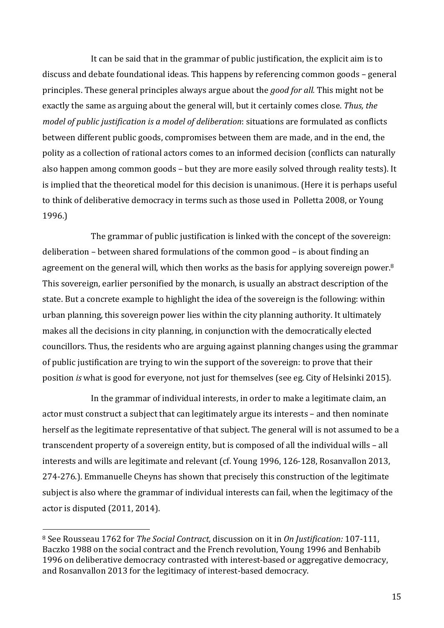It can be said that in the grammar of public justification, the explicit aim is to discuss and debate foundational ideas. This happens by referencing common goods – general principles. These general principles always argue about the *good for all*. This might not be exactly the same as arguing about the general will, but it certainly comes close. Thus, the *model of public justification is a model of deliberation: situations are formulated as conflicts* between different public goods, compromises between them are made, and in the end, the polity as a collection of rational actors comes to an informed decision (conflicts can naturally also happen among common goods – but they are more easily solved through reality tests). It is implied that the theoretical model for this decision is unanimous. (Here it is perhaps useful to think of deliberative democracy in terms such as those used in Polletta 2008, or Young 1996.)

The grammar of public justification is linked with the concept of the sovereign: deliberation – between shared formulations of the common good – is about finding an agreement on the general will, which then works as the basis for applying sovereign power.<sup>8</sup> This sovereign, earlier personified by the monarch, is usually an abstract description of the state. But a concrete example to highlight the idea of the sovereign is the following: within urban planning, this sovereign power lies within the city planning authority. It ultimately makes all the decisions in city planning, in conjunction with the democratically elected councillors. Thus, the residents who are arguing against planning changes using the grammar of public justification are trying to win the support of the sovereign: to prove that their position *is* what is good for everyone, not just for themselves (see eg. City of Helsinki 2015).

In the grammar of individual interests, in order to make a legitimate claim, an actor must construct a subject that can legitimately argue its interests – and then nominate herself as the legitimate representative of that subject. The general will is not assumed to be a transcendent property of a sovereign entity, but is composed of all the individual wills  $-$  all interests and wills are legitimate and relevant (cf. Young 1996, 126-128, Rosanvallon 2013, 274-276.). Emmanuelle Cheyns has shown that precisely this construction of the legitimate subject is also where the grammar of individual interests can fail, when the legitimacy of the actor is disputed  $(2011, 2014)$ .

<sup>&</sup>lt;sup>8</sup> See Rousseau 1762 for *The Social Contract*, discussion on it in *On Justification:* 107-111, Baczko 1988 on the social contract and the French revolution, Young 1996 and Benhabib 1996 on deliberative democracy contrasted with interest-based or aggregative democracy, and Rosanvallon 2013 for the legitimacy of interest-based democracy.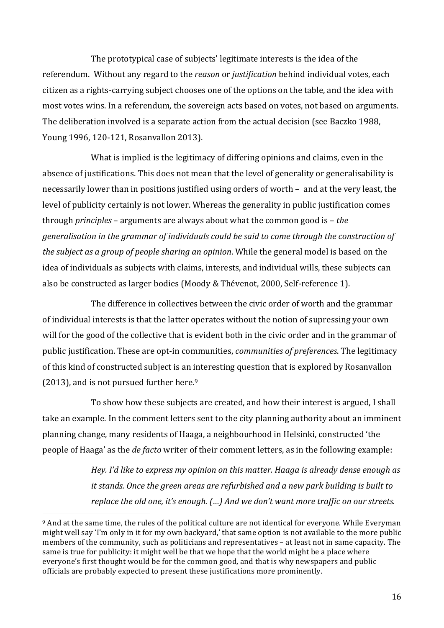The prototypical case of subjects' legitimate interests is the idea of the referendum. Without any regard to the *reason* or *justification* behind individual votes, each citizen as a rights-carrying subject chooses one of the options on the table, and the idea with most votes wins. In a referendum, the sovereign acts based on votes, not based on arguments. The deliberation involved is a separate action from the actual decision (see Baczko 1988, Young 1996, 120-121, Rosanvallon 2013).

What is implied is the legitimacy of differing opinions and claims, even in the absence of justifications. This does not mean that the level of generality or generalisability is necessarily lower than in positions justified using orders of worth – and at the very least, the level of publicity certainly is not lower. Whereas the generality in public justification comes through *principles* – arguments are always about what the common good is – *the* generalisation in the grammar of individuals could be said to come through the construction of *the subject as a group of people sharing an opinion*. While the general model is based on the idea of individuals as subjects with claims, interests, and individual wills, these subjects can also be constructed as larger bodies (Moody & Thévenot, 2000, Self-reference 1).

The difference in collectives between the civic order of worth and the grammar of individual interests is that the latter operates without the notion of supressing your own will for the good of the collective that is evident both in the civic order and in the grammar of public justification. These are opt-in communities, *communities of preferences*. The legitimacy of this kind of constructed subject is an interesting question that is explored by Rosanvallon (2013), and is not pursued further here. $9$ 

To show how these subjects are created, and how their interest is argued, I shall take an example. In the comment letters sent to the city planning authority about an imminent planning change, many residents of Haaga, a neighbourhood in Helsinki, constructed 'the people of Haaga' as the *de facto* writer of their comment letters, as in the following example:

> *Hey.* I'd like to express my opinion on this matter. Haaga is already dense enough as *it* stands. Once the green areas are refurbished and a new park building is built to *replace the old one, it's enough.* (...) And we don't want more traffic on our streets.

<sup>&</sup>lt;sup>9</sup> And at the same time, the rules of the political culture are not identical for everyone. While Everyman might well say 'I'm only in it for my own backyard,' that same option is not available to the more public members of the community, such as politicians and representatives – at least not in same capacity. The same is true for publicity: it might well be that we hope that the world might be a place where everyone's first thought would be for the common good, and that is why newspapers and public officials are probably expected to present these justifications more prominently.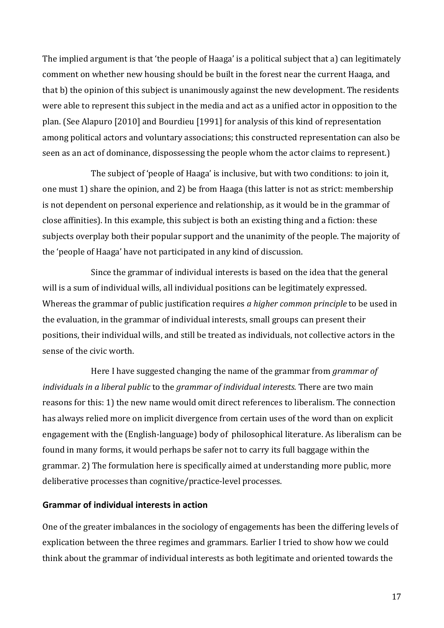The implied argument is that 'the people of Haaga' is a political subject that a) can legitimately comment on whether new housing should be built in the forest near the current Haaga, and that b) the opinion of this subject is unanimously against the new development. The residents were able to represent this subject in the media and act as a unified actor in opposition to the plan. (See Alapuro [2010] and Bourdieu [1991] for analysis of this kind of representation among political actors and voluntary associations; this constructed representation can also be seen as an act of dominance, dispossessing the people whom the actor claims to represent.)

The subject of 'people of Haaga' is inclusive, but with two conditions: to join it, one must 1) share the opinion, and 2) be from Haaga (this latter is not as strict: membership is not dependent on personal experience and relationship, as it would be in the grammar of close affinities). In this example, this subject is both an existing thing and a fiction: these subjects overplay both their popular support and the unanimity of the people. The majority of the 'people of Haaga' have not participated in any kind of discussion.

Since the grammar of individual interests is based on the idea that the general will is a sum of individual wills, all individual positions can be legitimately expressed. Whereas the grammar of public justification requires *a higher common principle* to be used in the evaluation, in the grammar of individual interests, small groups can present their positions, their individual wills, and still be treated as individuals, not collective actors in the sense of the civic worth.

Here I have suggested changing the name of the grammar from *grammar of individuals* in a liberal public to the grammar of individual interests. There are two main reasons for this: 1) the new name would omit direct references to liberalism. The connection has always relied more on implicit divergence from certain uses of the word than on explicit engagement with the (English-language) body of philosophical literature. As liberalism can be found in many forms, it would perhaps be safer not to carry its full baggage within the grammar. 2) The formulation here is specifically aimed at understanding more public, more deliberative processes than cognitive/practice-level processes.

#### **Grammar of individual interests in action**

One of the greater imbalances in the sociology of engagements has been the differing levels of explication between the three regimes and grammars. Earlier I tried to show how we could think about the grammar of individual interests as both legitimate and oriented towards the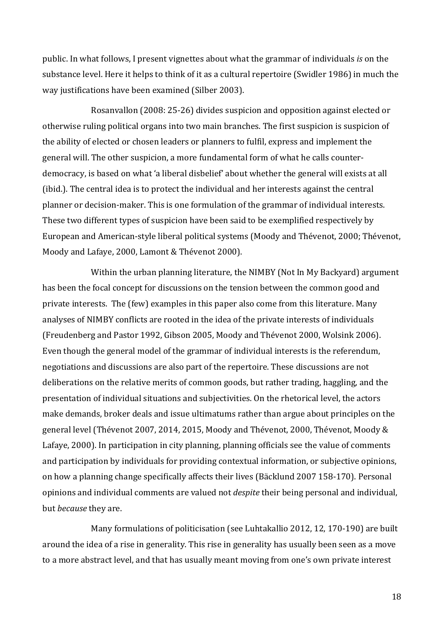public. In what follows, I present vignettes about what the grammar of individuals *is* on the substance level. Here it helps to think of it as a cultural repertoire (Swidler 1986) in much the way justifications have been examined (Silber 2003).

Rosanvallon (2008: 25-26) divides suspicion and opposition against elected or otherwise ruling political organs into two main branches. The first suspicion is suspicion of the ability of elected or chosen leaders or planners to fulfil, express and implement the general will. The other suspicion, a more fundamental form of what he calls counterdemocracy, is based on what 'a liberal disbelief' about whether the general will exists at all (ibid.). The central idea is to protect the individual and her interests against the central planner or decision-maker. This is one formulation of the grammar of individual interests. These two different types of suspicion have been said to be exemplified respectively by European and American-style liberal political systems (Moody and Thévenot, 2000; Thévenot, Moody and Lafaye, 2000, Lamont & Thévenot 2000).

Within the urban planning literature, the NIMBY (Not In My Backyard) argument has been the focal concept for discussions on the tension between the common good and private interests. The (few) examples in this paper also come from this literature. Many analyses of NIMBY conflicts are rooted in the idea of the private interests of individuals (Freudenberg and Pastor 1992, Gibson 2005, Moody and Thévenot 2000, Wolsink 2006). Even though the general model of the grammar of individual interests is the referendum, negotiations and discussions are also part of the repertoire. These discussions are not deliberations on the relative merits of common goods, but rather trading, haggling, and the presentation of individual situations and subjectivities. On the rhetorical level, the actors make demands, broker deals and issue ultimatums rather than argue about principles on the general level (Thévenot 2007, 2014, 2015, Moody and Thévenot, 2000, Thévenot, Moody & Lafaye, 2000). In participation in city planning, planning officials see the value of comments and participation by individuals for providing contextual information, or subjective opinions, on how a planning change specifically affects their lives (Bäcklund 2007 158-170). Personal opinions and individual comments are valued not *despite* their being personal and individual, but *because* they are.

Many formulations of politicisation (see Luhtakallio 2012, 12, 170-190) are built around the idea of a rise in generality. This rise in generality has usually been seen as a move to a more abstract level, and that has usually meant moving from one's own private interest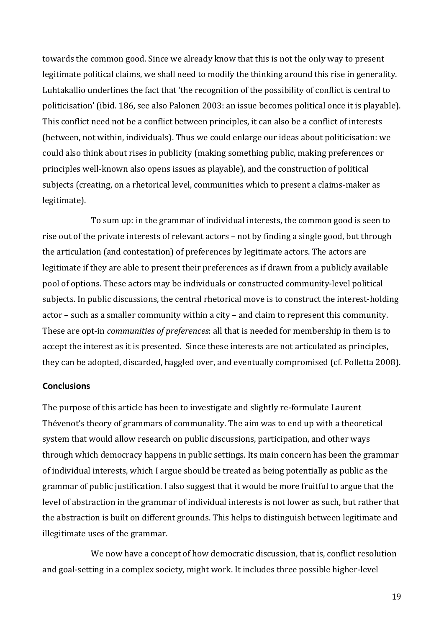towards the common good. Since we already know that this is not the only way to present legitimate political claims, we shall need to modify the thinking around this rise in generality. Luhtakallio underlines the fact that 'the recognition of the possibility of conflict is central to politicisation' (ibid. 186, see also Palonen 2003: an issue becomes political once it is playable). This conflict need not be a conflict between principles, it can also be a conflict of interests (between, not within, individuals). Thus we could enlarge our ideas about politicisation: we could also think about rises in publicity (making something public, making preferences or principles well-known also opens issues as playable), and the construction of political subjects (creating, on a rhetorical level, communities which to present a claims-maker as legitimate).

To sum up: in the grammar of individual interests, the common good is seen to rise out of the private interests of relevant actors – not by finding a single good, but through the articulation (and contestation) of preferences by legitimate actors. The actors are legitimate if they are able to present their preferences as if drawn from a publicly available pool of options. These actors may be individuals or constructed community-level political subjects. In public discussions, the central rhetorical move is to construct the interest-holding  $actor$  – such as a smaller community within a city – and claim to represent this community. These are opt-in *communities of preferences*: all that is needed for membership in them is to accept the interest as it is presented. Since these interests are not articulated as principles, they can be adopted, discarded, haggled over, and eventually compromised (cf. Polletta 2008).

#### **Conclusions**

The purpose of this article has been to investigate and slightly re-formulate Laurent Thévenot's theory of grammars of communality. The aim was to end up with a theoretical system that would allow research on public discussions, participation, and other ways through which democracy happens in public settings. Its main concern has been the grammar of individual interests, which I argue should be treated as being potentially as public as the grammar of public justification. I also suggest that it would be more fruitful to argue that the level of abstraction in the grammar of individual interests is not lower as such, but rather that the abstraction is built on different grounds. This helps to distinguish between legitimate and illegitimate uses of the grammar.

We now have a concept of how democratic discussion, that is, conflict resolution and goal-setting in a complex society, might work. It includes three possible higher-level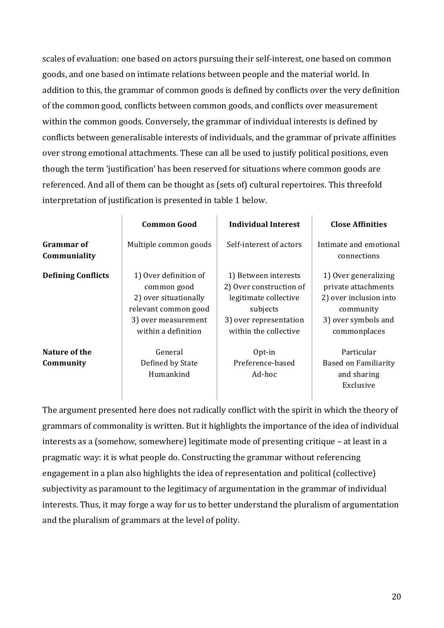scales of evaluation: one based on actors pursuing their self-interest, one based on common goods, and one based on intimate relations between people and the material world. In addition to this, the grammar of common goods is defined by conflicts over the very definition of the common good, conflicts between common goods, and conflicts over measurement within the common goods. Conversely, the grammar of individual interests is defined by conflicts between generalisable interests of individuals, and the grammar of private affinities over strong emotional attachments. These can all be used to justify political positions, even though the term 'justification' has been reserved for situations where common goods are referenced. And all of them can be thought as (sets of) cultural repertoires. This threefold interpretation of justification is presented in table 1 below.

|                                   | <b>Common Good</b>                                                                                                                  | <b>Individual Interest</b>                                                                                                              | <b>Close Affinities</b>                                                                                                   |
|-----------------------------------|-------------------------------------------------------------------------------------------------------------------------------------|-----------------------------------------------------------------------------------------------------------------------------------------|---------------------------------------------------------------------------------------------------------------------------|
| <b>Grammar of</b><br>Communiality | Multiple common goods                                                                                                               | Self-interest of actors                                                                                                                 | Intimate and emotional<br>connections                                                                                     |
| <b>Defining Conflicts</b>         | 1) Over definition of<br>common good<br>2) over situationally<br>relevant common good<br>3) over measurement<br>within a definition | 1) Between interests<br>2) Over construction of<br>legitimate collective<br>subjects<br>3) over representation<br>within the collective | 1) Over generalizing<br>private attachments<br>2) over inclusion into<br>community<br>3) over symbols and<br>commonplaces |
| Nature of the<br>Community        | General<br>Defined by State<br>Humankind                                                                                            | Opt-in<br>Preference-based<br>Ad-hoc                                                                                                    | Particular<br><b>Based on Familiarity</b><br>and sharing<br>Exclusive                                                     |

The argument presented here does not radically conflict with the spirit in which the theory of grammars of commonality is written. But it highlights the importance of the idea of individual interests as a (somehow, somewhere) legitimate mode of presenting critique - at least in a pragmatic way: it is what people do. Constructing the grammar without referencing engagement in a plan also highlights the idea of representation and political (collective) subjectivity as paramount to the legitimacy of argumentation in the grammar of individual interests. Thus, it may forge a way for us to better understand the pluralism of argumentation and the pluralism of grammars at the level of polity.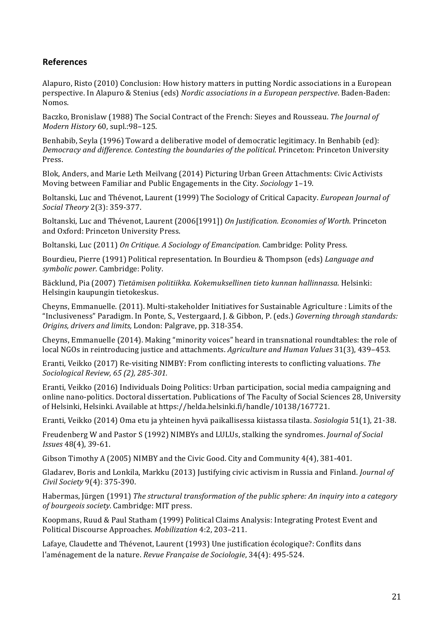### **References**

Alapuro, Risto (2010) Conclusion: How history matters in putting Nordic associations in a European perspective. In Alapuro & Stenius (eds) *Nordic associations in a European perspective*. Baden-Baden: Nomos.

Baczko, Bronislaw (1988) The Social Contract of the French: Sieyes and Rousseau. The Journal of *Modern History* 60, supl.:98–125.

Benhabib, Seyla (1996) Toward a deliberative model of democratic legitimacy. In Benhabib (ed): *Democracy and difference. Contesting the boundaries of the political.* Princeton: Princeton University Press. 

Blok, Anders, and Marie Leth Meilvang (2014) Picturing Urban Green Attachments: Civic Activists Moving between Familiar and Public Engagements in the City. *Sociology* 1-19.

Boltanski, Luc and Thévenot, Laurent (1999) The Sociology of Critical Capacity. *European Journal of Social Theory* 2(3): 359-377. 

Boltanski, Luc and Thévenot, Laurent (2006[1991]) On Justification. *Economies of Worth.* Princeton and Oxford: Princeton University Press.

Boltanski, Luc (2011) On Critique. A Sociology of Emancipation. Cambridge: Polity Press.

Bourdieu, Pierre (1991) Political representation. In Bourdieu & Thompson (eds) *Language and symbolic power.* Cambridge: Polity.

Bäcklund, Pia (2007) *Tietämisen politiikka. Kokemuksellinen tieto kunnan hallinnassa.* Helsinki: Helsingin kaupungin tietokeskus.

Cheyns, Emmanuelle. (2011). Multi-stakeholder Initiatives for Sustainable Agriculture : Limits of the "Inclusiveness" Paradigm. In Ponte, S., Vestergaard, J. & Gibbon, P. (eds.) *Governing through standards: Origins, drivers and limits, London: Palgrave, pp. 318-354.* 

Cheyns, Emmanuelle (2014). Making "minority voices" heard in transnational roundtables: the role of local NGOs in reintroducing justice and attachments. *Agriculture and Human Values* 31(3), 439–453.

Eranti, Veikko (2017) Re-visiting NIMBY: From conflicting interests to conflicting valuations. *The Sociological Review, 65 (2), 285-301.*

Eranti, Veikko (2016) Individuals Doing Politics: Urban participation, social media campaigning and online nano-politics. Doctoral dissertation. Publications of The Faculty of Social Sciences 28, University of Helsinki, Helsinki. Available at https://helda.helsinki.fi/handle/10138/167721.

Eranti, Veikko (2014) Oma etu ja yhteinen hyvä paikallisessa kiistassa tilasta. *Sosiologia* 51(1), 21-38.

Freudenberg W and Pastor S (1992) NIMBYs and LULUs, stalking the syndromes. *Journal of Social Issues* 48(4), 39-61.

Gibson Timothy A (2005) NIMBY and the Civic Good. City and Community  $4(4)$ , 381-401.

Gladarev, Boris and Lonkila, Markku (2013) Justifying civic activism in Russia and Finland. *Journal of Civil Society* 9(4): 375-390.

Habermas, Jürgen (1991) *The structural transformation of the public sphere: An inquiry into a category of bourgeois society.* Cambridge: MIT press.

Koopmans, Ruud & Paul Statham (1999) Political Claims Analysis: Integrating Protest Event and Political Discourse Approaches. *Mobilization* 4:2, 203–211. 

Lafaye, Claudette and Thévenot, Laurent (1993) Une justification écologique?: Conflits dans l'aménagement de la nature. *Revue Française de Sociologie*, 34(4): 495-524.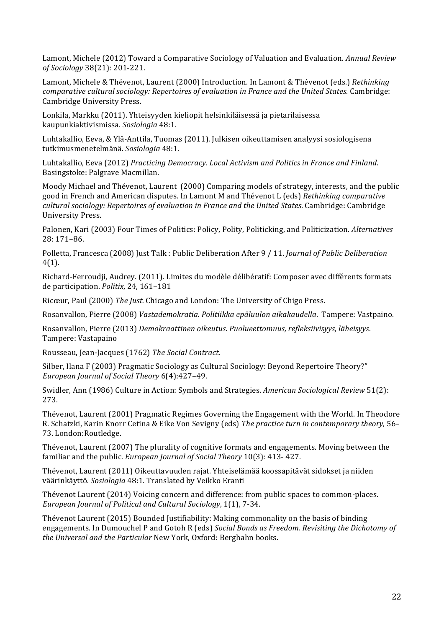Lamont, Michele (2012) Toward a Comparative Sociology of Valuation and Evaluation. *Annual Review of Sociology* 38(21): 201-221.

Lamont, Michele & Thévenot, Laurent (2000) Introduction. In Lamont & Thévenot (eds.) *Rethinking comparative cultural sociology: Repertoires of evaluation in France and the United States.* Cambridge: Cambridge University Press.

Lonkila, Markku (2011). Yhteisyyden kieliopit helsinkiläisessä ja pietarilaisessa kaupunkiaktivismissa. *Sosiologia* 48:1.

Luhtakallio, Eeva, & Ylä-Anttila, Tuomas (2011). Julkisen oikeuttamisen analyysi sosiologisena tutkimusmenetelmänä. *Sosiologia* 48:1.

Luhtakallio, Eeva (2012) *Practicing Democracy. Local Activism and Politics in France and Finland.* Basingstoke: Palgrave Macmillan.

Moody Michael and Thévenot, Laurent (2000) Comparing models of strategy, interests, and the public good in French and American disputes. In Lamont M and Thévenot L (eds) *Rethinking comparative cultural sociology: Repertoires of evaluation in France and the United States.* Cambridge: Cambridge University Press.

Palonen, Kari (2003) Four Times of Politics: Policy, Polity, Politicking, and Politicization. Alternatives 28: 171–86. 

Polletta, Francesca (2008) Just Talk : Public Deliberation After 9 / 11. *Journal of Public Deliberation* 4(1).

Richard-Ferroudji, Audrey. (2011). Limites du modèle délibératif: Composer avec différents formats de participation. *Politix*, 24, 161–181

Ricœur, Paul (2000) *The Just.* Chicago and London: The University of Chigo Press.

Rosanvallon, Pierre (2008) *Vastademokratia. Politiikka epäluulon aikakaudella*. Tampere: Vastpaino. 

Rosanvallon, Pierre (2013) Demokraattinen oikeutus. Puolueettomuus, refleksiivisyys, läheisyys. Tampere: Vastapaino

Rousseau, Jean-Jacques (1762) The Social Contract.

Silber, Ilana F (2003) Pragmatic Sociology as Cultural Sociology: Beyond Repertoire Theory?" *European Journal of Social Theory* 6(4):427–49. 

Swidler, Ann (1986) Culture in Action: Symbols and Strategies. *American Sociological Review* 51(2): 273.

Thévenot, Laurent (2001) Pragmatic Regimes Governing the Engagement with the World. In Theodore R. Schatzki, Karin Knorr Cetina & Eike Von Sevigny (eds) The practice turn in contemporary theory, 56– 73. London: Routledge.

Thévenot, Laurent (2007) The plurality of cognitive formats and engagements. Moving between the familiar and the public. *European Journal of Social Theory* 10(3): 413-427.

Thévenot, Laurent (2011) Oikeuttavuuden rajat. Yhteiselämää koossapitävät sidokset ja niiden väärinkäyttö. *Sosiologia* 48:1*.* Translated by Veikko Eranti

Thévenot Laurent (2014) Voicing concern and difference: from public spaces to common-places. *European Journal of Political and Cultural Sociology*, 1(1), 7-34.

Thévenot Laurent (2015) Bounded Justifiability: Making commonality on the basis of binding engagements. In Dumouchel P and Gotoh R (eds) *Social Bonds as Freedom. Revisiting the Dichotomy of the Universal and the Particular New York, Oxford: Berghahn books.*